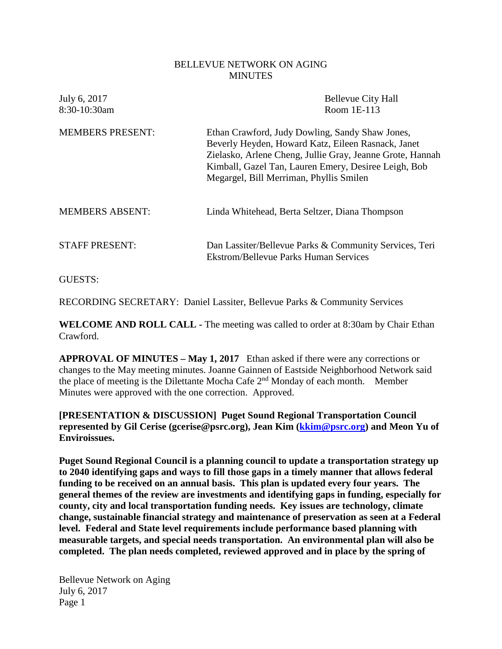## BELLEVUE NETWORK ON AGING **MINUTES**

| July 6, 2017<br>8:30-10:30am | <b>Bellevue City Hall</b><br>Room 1E-113                                                                                                                                                                                                                              |
|------------------------------|-----------------------------------------------------------------------------------------------------------------------------------------------------------------------------------------------------------------------------------------------------------------------|
| <b>MEMBERS PRESENT:</b>      | Ethan Crawford, Judy Dowling, Sandy Shaw Jones,<br>Beverly Heyden, Howard Katz, Eileen Rasnack, Janet<br>Zielasko, Arlene Cheng, Jullie Gray, Jeanne Grote, Hannah<br>Kimball, Gazel Tan, Lauren Emery, Desiree Leigh, Bob<br>Megargel, Bill Merriman, Phyllis Smilen |
| <b>MEMBERS ABSENT:</b>       | Linda Whitehead, Berta Seltzer, Diana Thompson                                                                                                                                                                                                                        |
| <b>STAFF PRESENT:</b>        | Dan Lassiter/Bellevue Parks & Community Services, Teri<br><b>Ekstrom/Bellevue Parks Human Services</b>                                                                                                                                                                |
|                              |                                                                                                                                                                                                                                                                       |

GUESTS:

RECORDING SECRETARY: Daniel Lassiter, Bellevue Parks & Community Services

**WELCOME AND ROLL CALL -** The meeting was called to order at 8:30am by Chair Ethan Crawford.

**APPROVAL OF MINUTES – May 1, 2017** Ethan asked if there were any corrections or changes to the May meeting minutes. Joanne Gainnen of Eastside Neighborhood Network said the place of meeting is the Dilettante Mocha Cafe 2nd Monday of each month. Member Minutes were approved with the one correction. Approved.

**[PRESENTATION & DISCUSSION] Puget Sound Regional Transportation Council represented by Gil Cerise (gcerise@psrc.org), Jean Kim [\(kkim@psrc.org\)](mailto:kkim@psrc.org) and Meon Yu of Enviroissues.**

**Puget Sound Regional Council is a planning council to update a transportation strategy up to 2040 identifying gaps and ways to fill those gaps in a timely manner that allows federal funding to be received on an annual basis. This plan is updated every four years. The general themes of the review are investments and identifying gaps in funding, especially for county, city and local transportation funding needs. Key issues are technology, climate change, sustainable financial strategy and maintenance of preservation as seen at a Federal level. Federal and State level requirements include performance based planning with measurable targets, and special needs transportation. An environmental plan will also be completed. The plan needs completed, reviewed approved and in place by the spring of**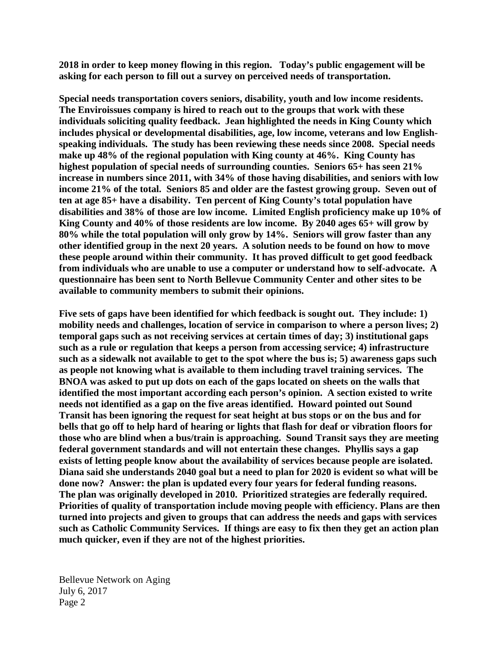**2018 in order to keep money flowing in this region. Today's public engagement will be asking for each person to fill out a survey on perceived needs of transportation.** 

**Special needs transportation covers seniors, disability, youth and low income residents. The Enviroissues company is hired to reach out to the groups that work with these individuals soliciting quality feedback. Jean highlighted the needs in King County which includes physical or developmental disabilities, age, low income, veterans and low Englishspeaking individuals. The study has been reviewing these needs since 2008. Special needs make up 48% of the regional population with King county at 46%. King County has highest population of special needs of surrounding counties. Seniors 65+ has seen 21% increase in numbers since 2011, with 34% of those having disabilities, and seniors with low income 21% of the total. Seniors 85 and older are the fastest growing group. Seven out of ten at age 85+ have a disability. Ten percent of King County's total population have disabilities and 38% of those are low income. Limited English proficiency make up 10% of King County and 40% of those residents are low income. By 2040 ages 65+ will grow by 80% while the total population will only grow by 14%. Seniors will grow faster than any other identified group in the next 20 years. A solution needs to be found on how to move these people around within their community. It has proved difficult to get good feedback from individuals who are unable to use a computer or understand how to self-advocate. A questionnaire has been sent to North Bellevue Community Center and other sites to be available to community members to submit their opinions.** 

**Five sets of gaps have been identified for which feedback is sought out. They include: 1) mobility needs and challenges, location of service in comparison to where a person lives; 2) temporal gaps such as not receiving services at certain times of day; 3) institutional gaps such as a rule or regulation that keeps a person from accessing service; 4) infrastructure such as a sidewalk not available to get to the spot where the bus is; 5) awareness gaps such as people not knowing what is available to them including travel training services. The BNOA was asked to put up dots on each of the gaps located on sheets on the walls that identified the most important according each person's opinion. A section existed to write needs not identified as a gap on the five areas identified. Howard pointed out Sound Transit has been ignoring the request for seat height at bus stops or on the bus and for bells that go off to help hard of hearing or lights that flash for deaf or vibration floors for those who are blind when a bus/train is approaching. Sound Transit says they are meeting federal government standards and will not entertain these changes. Phyllis says a gap exists of letting people know about the availability of services because people are isolated. Diana said she understands 2040 goal but a need to plan for 2020 is evident so what will be done now? Answer: the plan is updated every four years for federal funding reasons. The plan was originally developed in 2010. Prioritized strategies are federally required. Priorities of quality of transportation include moving people with efficiency. Plans are then turned into projects and given to groups that can address the needs and gaps with services such as Catholic Community Services. If things are easy to fix then they get an action plan much quicker, even if they are not of the highest priorities.**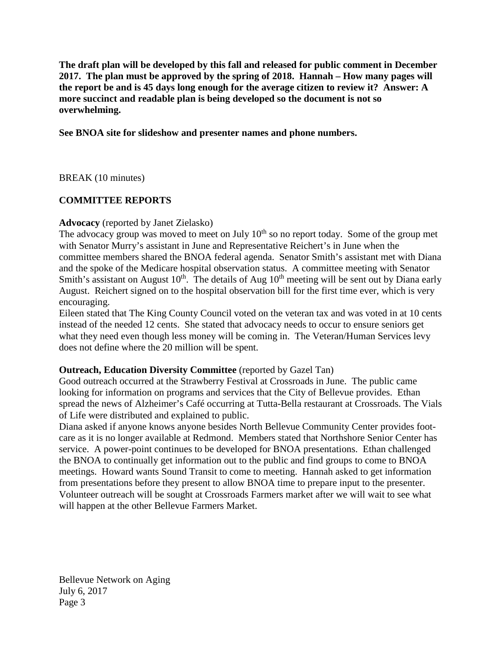**The draft plan will be developed by this fall and released for public comment in December 2017. The plan must be approved by the spring of 2018. Hannah – How many pages will the report be and is 45 days long enough for the average citizen to review it? Answer: A more succinct and readable plan is being developed so the document is not so overwhelming.** 

**See BNOA site for slideshow and presenter names and phone numbers.** 

BREAK (10 minutes)

# **COMMITTEE REPORTS**

## **Advocacy** (reported by Janet Zielasko)

The advocacy group was moved to meet on July  $10<sup>th</sup>$  so no report today. Some of the group met with Senator Murry's assistant in June and Representative Reichert's in June when the committee members shared the BNOA federal agenda. Senator Smith's assistant met with Diana and the spoke of the Medicare hospital observation status. A committee meeting with Senator Smith's assistant on August  $10<sup>th</sup>$ . The details of Aug  $10<sup>th</sup>$  meeting will be sent out by Diana early August. Reichert signed on to the hospital observation bill for the first time ever, which is very encouraging.

Eileen stated that The King County Council voted on the veteran tax and was voted in at 10 cents instead of the needed 12 cents. She stated that advocacy needs to occur to ensure seniors get what they need even though less money will be coming in. The Veteran/Human Services levy does not define where the 20 million will be spent.

# **Outreach, Education Diversity Committee** (reported by Gazel Tan)

Good outreach occurred at the Strawberry Festival at Crossroads in June. The public came looking for information on programs and services that the City of Bellevue provides. Ethan spread the news of Alzheimer's Café occurring at Tutta-Bella restaurant at Crossroads. The Vials of Life were distributed and explained to public.

Diana asked if anyone knows anyone besides North Bellevue Community Center provides footcare as it is no longer available at Redmond. Members stated that Northshore Senior Center has service. A power-point continues to be developed for BNOA presentations. Ethan challenged the BNOA to continually get information out to the public and find groups to come to BNOA meetings. Howard wants Sound Transit to come to meeting. Hannah asked to get information from presentations before they present to allow BNOA time to prepare input to the presenter. Volunteer outreach will be sought at Crossroads Farmers market after we will wait to see what will happen at the other Bellevue Farmers Market.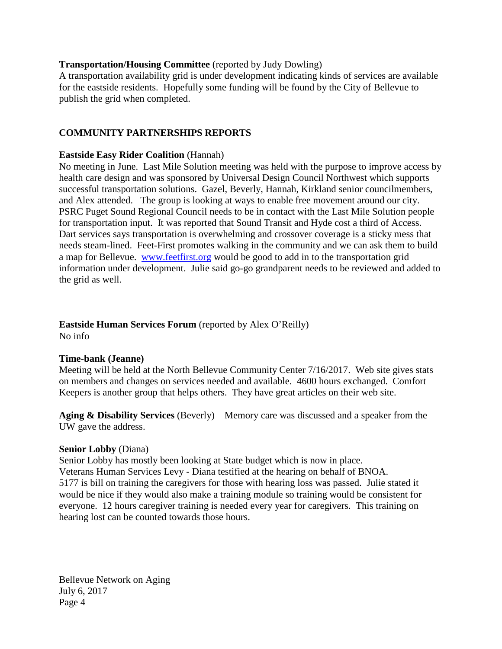### **Transportation/Housing Committee** (reported by Judy Dowling)

A transportation availability grid is under development indicating kinds of services are available for the eastside residents. Hopefully some funding will be found by the City of Bellevue to publish the grid when completed.

## **COMMUNITY PARTNERSHIPS REPORTS**

### **Eastside Easy Rider Coalition** (Hannah)

No meeting in June. Last Mile Solution meeting was held with the purpose to improve access by health care design and was sponsored by Universal Design Council Northwest which supports successful transportation solutions. Gazel, Beverly, Hannah, Kirkland senior councilmembers, and Alex attended. The group is looking at ways to enable free movement around our city. PSRC Puget Sound Regional Council needs to be in contact with the Last Mile Solution people for transportation input. It was reported that Sound Transit and Hyde cost a third of Access. Dart services says transportation is overwhelming and crossover coverage is a sticky mess that needs steam-lined. Feet-First promotes walking in the community and we can ask them to build a map for Bellevue. [www.feetfirst.org](http://www.feetfirst.org/) would be good to add in to the transportation grid information under development. Julie said go-go grandparent needs to be reviewed and added to the grid as well.

#### **Eastside Human Services Forum** (reported by Alex O'Reilly) No info

### **Time-bank (Jeanne)**

Meeting will be held at the North Bellevue Community Center 7/16/2017. Web site gives stats on members and changes on services needed and available. 4600 hours exchanged. Comfort Keepers is another group that helps others. They have great articles on their web site.

**Aging & Disability Services** (Beverly) Memory care was discussed and a speaker from the UW gave the address.

### **Senior Lobby** (Diana)

Senior Lobby has mostly been looking at State budget which is now in place. Veterans Human Services Levy - Diana testified at the hearing on behalf of BNOA. 5177 is bill on training the caregivers for those with hearing loss was passed. Julie stated it would be nice if they would also make a training module so training would be consistent for everyone. 12 hours caregiver training is needed every year for caregivers. This training on hearing lost can be counted towards those hours.